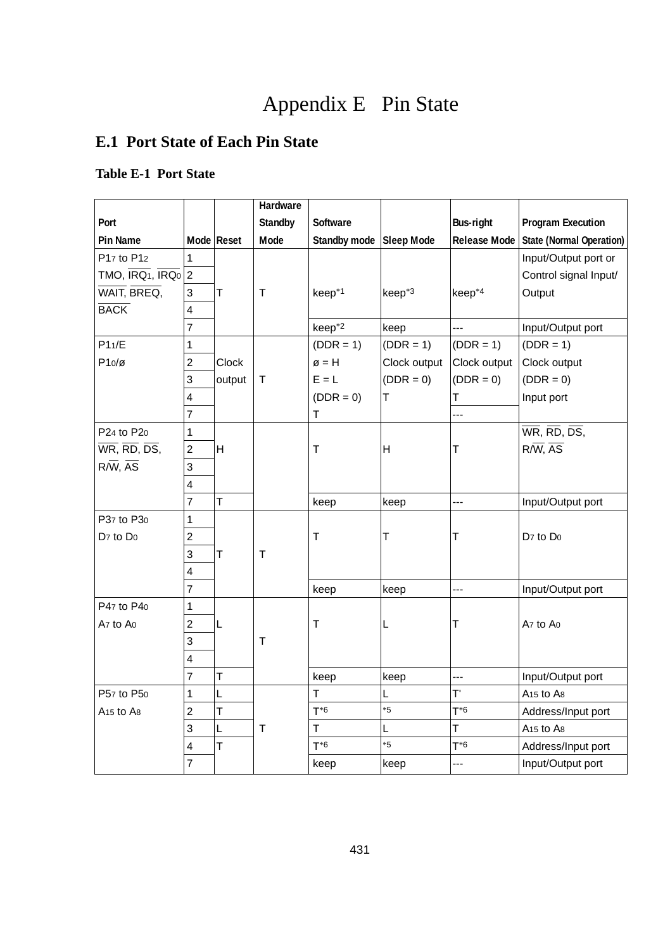# Appendix E Pin State

# **E.1 Port State of Each Pin State**

# **Table E-1 Port State**

|                                                                           |                         |            | Hardware     |                         |              |                     |                                   |
|---------------------------------------------------------------------------|-------------------------|------------|--------------|-------------------------|--------------|---------------------|-----------------------------------|
| Port                                                                      |                         |            | Standby      | Software                |              | <b>Bus-right</b>    | <b>Program Execution</b>          |
| <b>Pin Name</b>                                                           |                         | Mode Reset | Mode         | Standby mode Sleep Mode |              | <b>Release Mode</b> | <b>State (Normal Operation)</b>   |
| P17 to P12                                                                | 1                       |            |              |                         |              |                     | Input/Output port or              |
| TMO, IRQ <sub>1</sub> , IRQ $_0$ 2                                        |                         |            |              |                         |              |                     | Control signal Input/             |
| WAIT, BREQ,                                                               | 3                       | T          | $\mathsf{T}$ | keep <sup>*1</sup>      | $keep*3$     | keep <sup>*4</sup>  | Output                            |
| <b>BACK</b>                                                               | 4                       |            |              |                         |              |                     |                                   |
|                                                                           | $\overline{7}$          |            |              | keep <sup>*2</sup>      | keep         | ---                 | Input/Output port                 |
| P11/E                                                                     | 1                       |            |              | $(DDR = 1)$             | $(DDR = 1)$  | $(DDR = 1)$         | $(DDR = 1)$                       |
| $P10/\alpha$                                                              | $\overline{2}$          | Clock      |              | $\emptyset = H$         | Clock output | Clock output        | Clock output                      |
|                                                                           | 3                       | output     | $\mathsf{T}$ | $E = L$                 | $(DDR = 0)$  | $(DDR = 0)$         | $(DDR = 0)$                       |
|                                                                           | $\overline{4}$          |            |              | $(DDR = 0)$             | Т            | T                   | Input port                        |
|                                                                           | $\overline{7}$          |            |              | T                       |              |                     |                                   |
| P24 to P20                                                                | 1                       |            |              |                         |              |                     | WR, RD, DS,                       |
| $\overline{\mathsf{WR}}, \overline{\mathsf{RD}}, \overline{\mathsf{DS}},$ | $\overline{2}$          | H          |              | T                       | H            | Т                   | $R/W$ , $AS$                      |
| $R/\overline{W}$ , $\overline{AS}$                                        | 3                       |            |              |                         |              |                     |                                   |
|                                                                           | $\overline{\mathbf{4}}$ |            |              |                         |              |                     |                                   |
|                                                                           | 7                       | T          |              | keep                    | keep         | ---                 | Input/Output port                 |
| P <sub>37</sub> to P <sub>30</sub>                                        | 1                       |            |              |                         |              |                     |                                   |
| $D7$ to $D0$                                                              | $\overline{2}$          |            |              | T                       | Т            | T                   | $D7$ to $D0$                      |
|                                                                           | 3                       | T          | T            |                         |              |                     |                                   |
|                                                                           | 4                       |            |              |                         |              |                     |                                   |
|                                                                           | $\overline{7}$          |            |              | keep                    | keep         | ---                 | Input/Output port                 |
| P47 to P40                                                                | 1                       |            |              |                         |              |                     |                                   |
| Az to Ao                                                                  | $\overline{c}$          | L          |              | т                       | L            | Т                   | Az to Ao                          |
|                                                                           | 3                       |            | $\mathsf{T}$ |                         |              |                     |                                   |
|                                                                           | 4                       |            |              |                         |              |                     |                                   |
|                                                                           | $\overline{7}$          | T          |              | keep                    | keep         | ---                 | Input/Output port                 |
| P57 to P50                                                                | 1                       | L          |              | т                       | L            | T'                  | A <sub>15</sub> to A <sub>8</sub> |
| A <sub>15</sub> to A <sub>8</sub>                                         | $\overline{2}$          | Т          |              | $T^*6$                  | *5           | $T^*6$              | Address/Input port                |
|                                                                           | 3                       | L          | $\mathsf{T}$ | T                       | Ĺ            | T                   | A <sub>15</sub> to A <sub>8</sub> |
|                                                                           | 4                       | T          |              | $T^*6$                  | *5           | $T^*6$              | Address/Input port                |
|                                                                           | $\overline{7}$          |            |              | keep                    | keep         | ---                 | Input/Output port                 |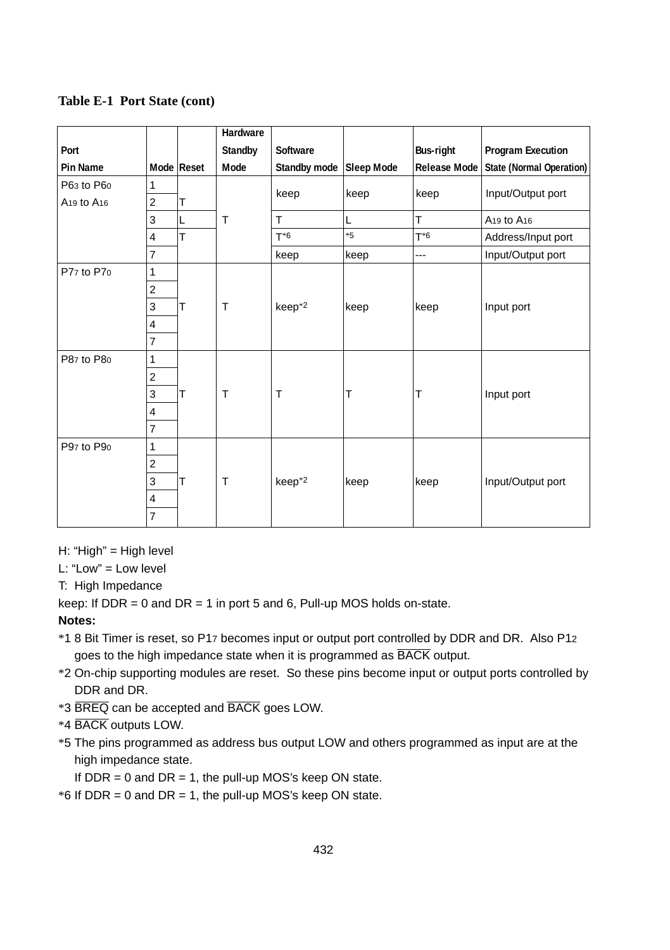|                                    |                |            | Hardware     |                         |      |                     |                                    |
|------------------------------------|----------------|------------|--------------|-------------------------|------|---------------------|------------------------------------|
| Port                               |                |            | Standby      | Software                |      | <b>Bus-right</b>    | <b>Program Execution</b>           |
| Pin Name                           |                | Mode Reset | Mode         | Standby mode Sleep Mode |      | <b>Release Mode</b> | State (Normal Operation)           |
| P63 to P60                         | 1              |            |              |                         | keep | keep                | Input/Output port                  |
| A <sub>19</sub> to A <sub>16</sub> | $\overline{2}$ | T          |              | keep                    |      |                     |                                    |
|                                    | 3              | L<br>T     | T            | T.                      | L    | T                   | A <sub>19</sub> to A <sub>16</sub> |
|                                    | $\overline{4}$ |            |              | $T^*6$                  | $*5$ | $T^*6$              | Address/Input port                 |
|                                    | $\overline{7}$ |            |              | keep                    | keep | $---$               | Input/Output port                  |
| P77 to P70                         | 1              |            |              |                         |      |                     |                                    |
|                                    | $\overline{2}$ |            |              |                         |      |                     |                                    |
|                                    | 3              | T          | T            | keep <sup>*2</sup>      | keep | keep                | Input port                         |
|                                    | $\overline{4}$ |            |              |                         |      |                     |                                    |
|                                    | $\overline{7}$ |            |              |                         |      |                     |                                    |
| P87 to P80                         | $\mathbf{1}$   |            |              |                         |      |                     |                                    |
|                                    | $\overline{2}$ |            |              |                         |      |                     |                                    |
|                                    | 3              | T          | T            | T                       | т    | Т                   | Input port                         |
|                                    | $\overline{4}$ |            |              |                         |      |                     |                                    |
|                                    | $\overline{7}$ |            |              |                         |      |                     |                                    |
| P97 to P90                         | $\mathbf{1}$   |            |              |                         |      |                     |                                    |
|                                    | $\overline{2}$ |            |              |                         |      |                     |                                    |
|                                    | 3              | T          | $\mathsf{T}$ | keep <sup>*2</sup>      | keep | keep                | Input/Output port                  |
|                                    | $\overline{4}$ |            |              |                         |      |                     |                                    |
|                                    | $\overline{7}$ |            |              |                         |      |                     |                                    |

#### **Table E-1 Port State (cont)**

H: "High" = High level

L: "Low" = Low level

T: High Impedance

keep: If  $DDR = 0$  and  $DR = 1$  in port 5 and 6, Pull-up MOS holds on-state.

#### **Notes:**

- \*1 8 Bit Timer is reset, so P17 becomes input or output port controlled by DDR and DR. Also P12 goes to the high impedance state when it is programmed as **BACK** output.
- \*2 On-chip supporting modules are reset. So these pins become input or output ports controlled by DDR and DR.
- \*3 BREQ can be accepted and BACK goes LOW.
- \*4 BACK outputs LOW.
- \*5 The pins programmed as address bus output LOW and others programmed as input are at the high impedance state.

If  $DDR = 0$  and  $DR = 1$ , the pull-up MOS's keep ON state.

 $*6$  If DDR = 0 and DR = 1, the pull-up MOS's keep ON state.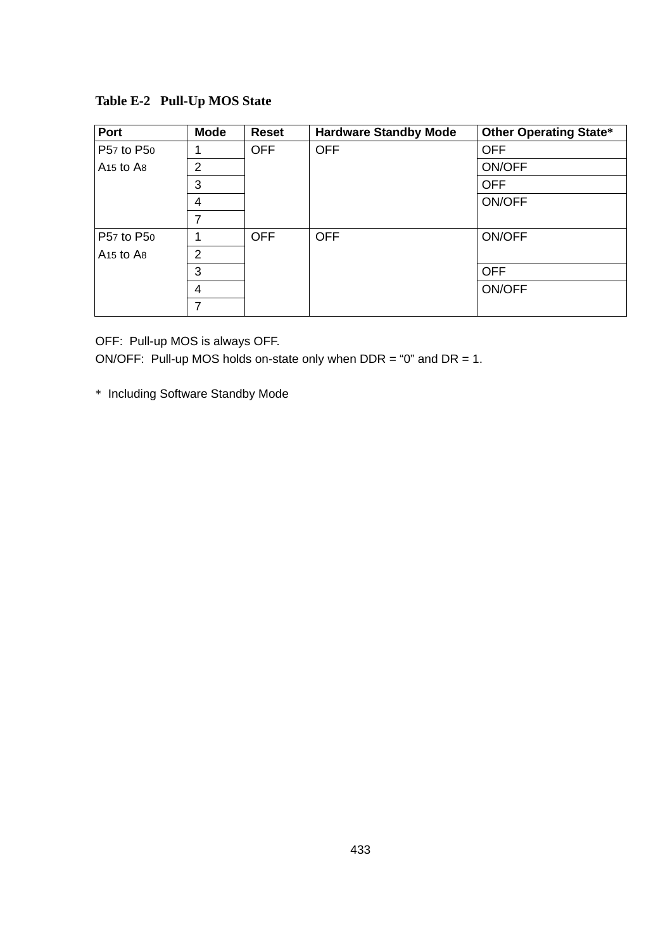| Port                              | Mode           | <b>Reset</b> | <b>Hardware Standby Mode</b> | <b>Other Operating State*</b> |
|-----------------------------------|----------------|--------------|------------------------------|-------------------------------|
| P57 to P50                        | 1              | <b>OFF</b>   | <b>OFF</b>                   | <b>OFF</b>                    |
| A <sub>15</sub> to A <sub>8</sub> | 2              |              |                              | ON/OFF                        |
|                                   | 3              |              |                              | <b>OFF</b>                    |
|                                   | $\overline{4}$ |              |                              | ON/OFF                        |
|                                   | 7              |              |                              |                               |
| P57 to P50                        | 1              | <b>OFF</b>   | <b>OFF</b>                   | ON/OFF                        |
| A <sub>15</sub> to A <sub>8</sub> | $\overline{2}$ |              |                              |                               |
|                                   | 3              |              |                              | <b>OFF</b>                    |
|                                   | 4              |              |                              | ON/OFF                        |
|                                   | 7              |              |                              |                               |

**Table E-2 Pull-Up MOS State**

OFF: Pull-up MOS is always OFF.

ON/OFF: Pull-up MOS holds on-state only when DDR = "0" and DR = 1.

\* Including Software Standby Mode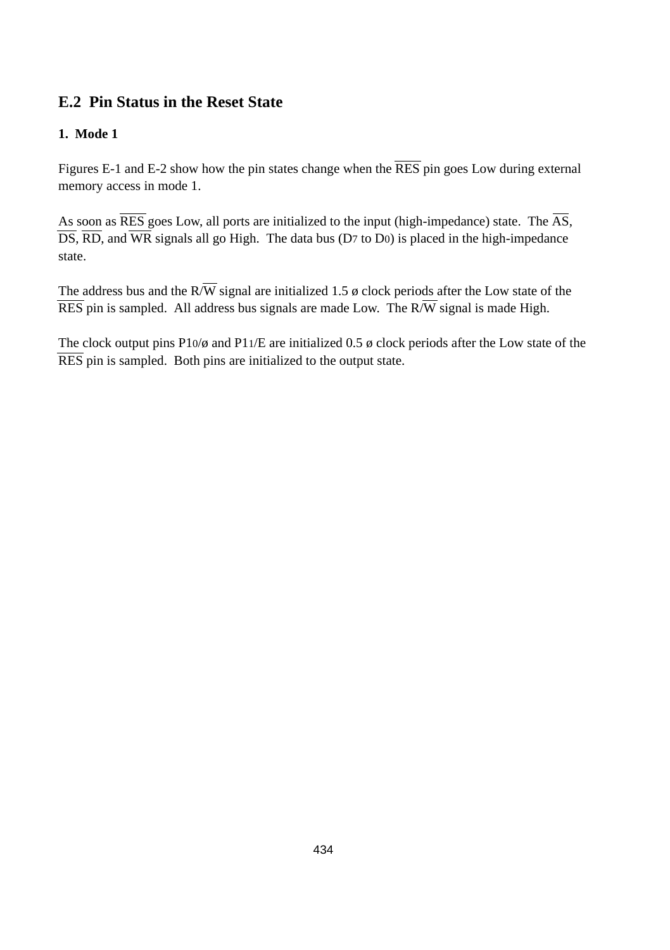# **E.2 Pin Status in the Reset State**

# **1. Mode 1**

Figures E-1 and E-2 show how the pin states change when the  $\overline{RES}$  pin goes Low during external memory access in mode 1.

As soon as  $\overline{\rm RES}$  goes Low, all ports are initialized to the input (high-impedance) state. The  $\overline{\rm AS}$ , DS, RD, and WR signals all go High. The data bus (D7 to D0) is placed in the high-impedance state.

The address bus and the  $R/\overline{W}$  signal are initialized 1.5  $\phi$  clock periods after the Low state of the  $\overline{\text{RES}}$  pin is sampled. All address bus signals are made Low. The R $\overline{W}$  signal is made High.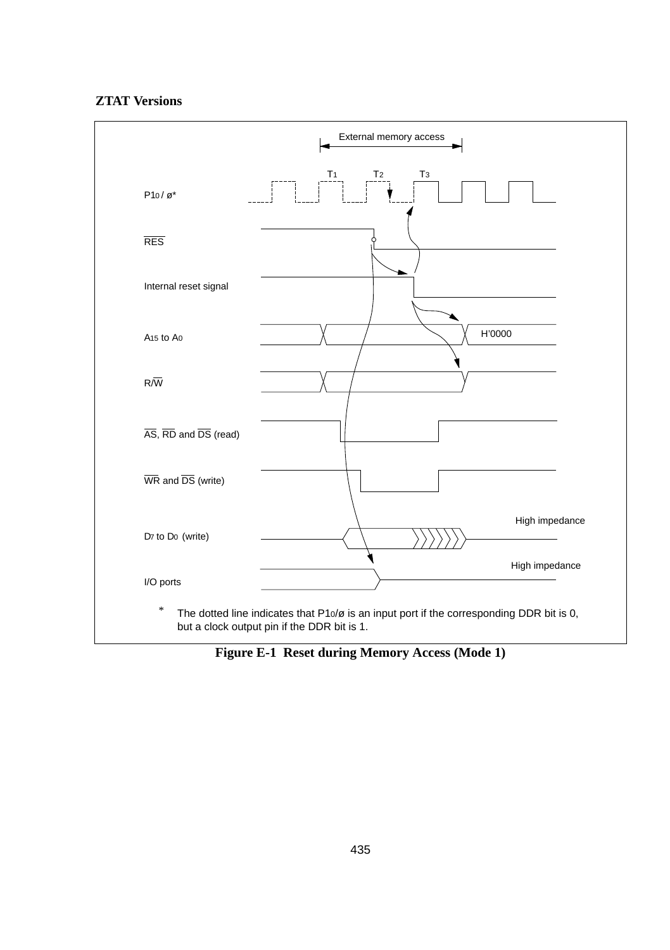# **ZTAT Versions**



**Figure E-1 Reset during Memory Access (Mode 1)**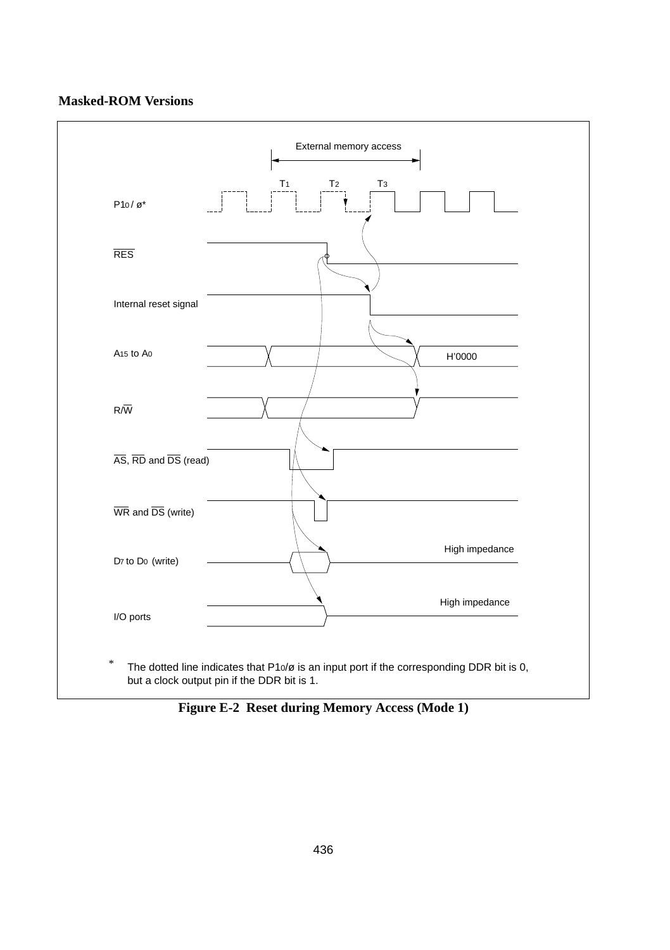

**Figure E-2 Reset during Memory Access (Mode 1)**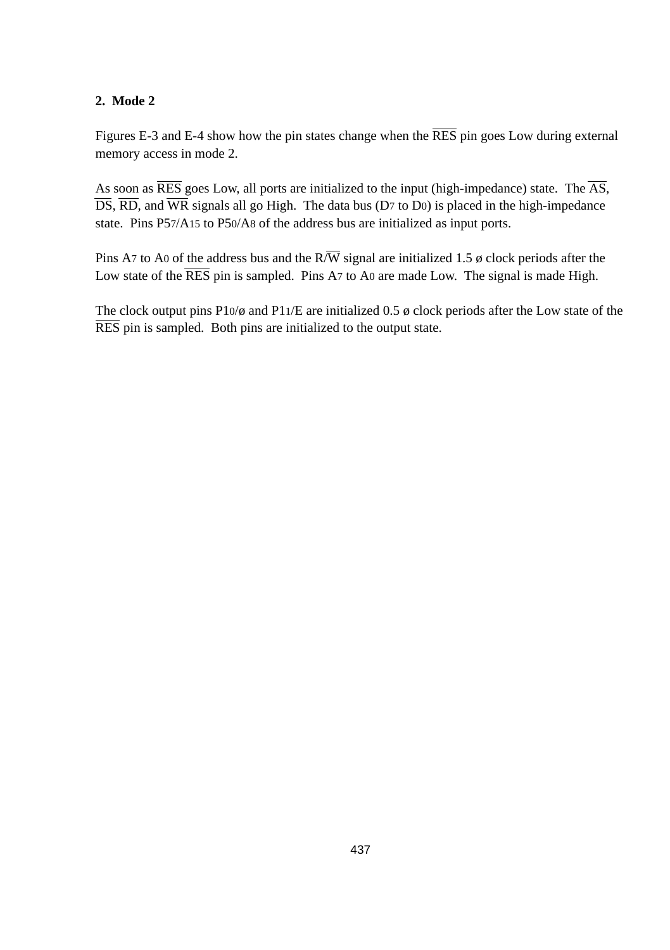Figures E-3 and E-4 show how the pin states change when the RES pin goes Low during external memory access in mode 2.

As soon as  $\overline{\text{RES}}$  goes Low, all ports are initialized to the input (high-impedance) state. The  $\overline{\text{AS}}$ ,  $\overline{DS}$ ,  $\overline{RD}$ , and  $\overline{WR}$  signals all go High. The data bus (D7 to D0) is placed in the high-impedance state. Pins P57/A15 to P50/A8 of the address bus are initialized as input ports.

Pins A7 to A0 of the address bus and the  $R/\overline{W}$  signal are initialized 1.5  $\phi$  clock periods after the Low state of the  $\overline{\text{RES}}$  pin is sampled. Pins A7 to A0 are made Low. The signal is made High.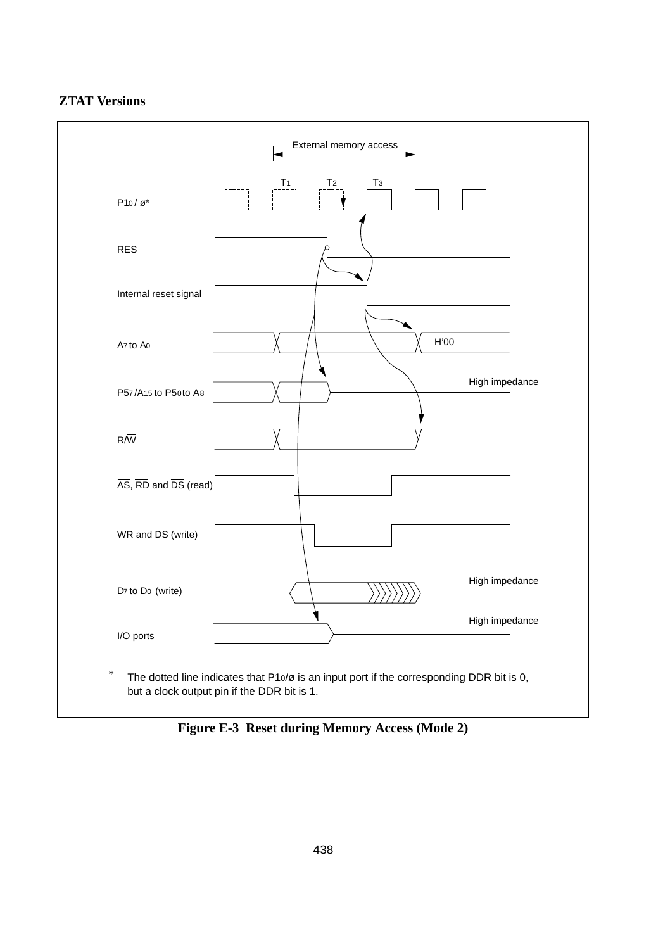



Figure E-3 Reset during Memory Access (Mode 2)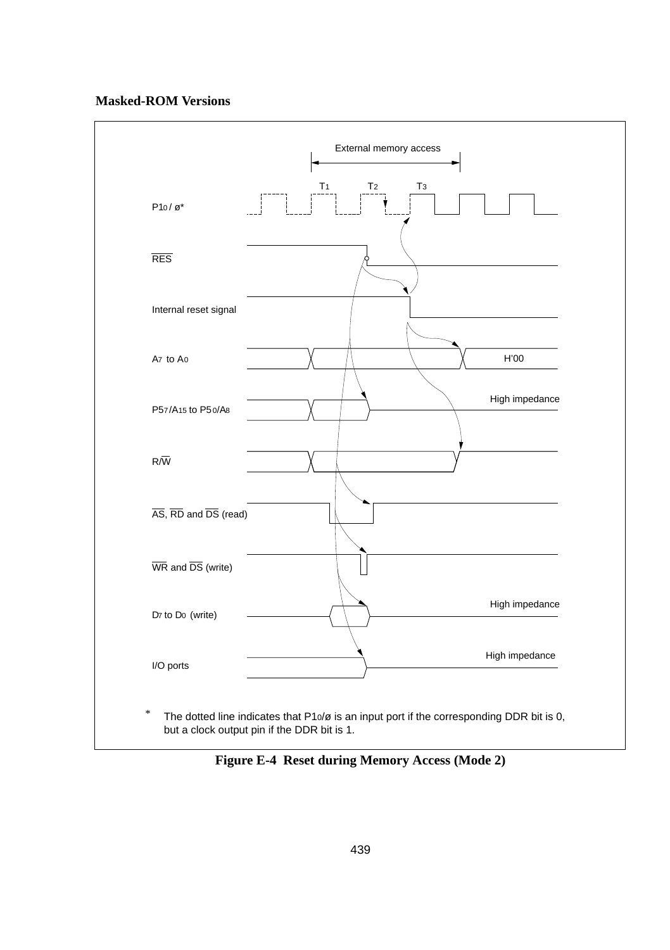#### **Masked-ROM Versions**



**Figure E-4 Reset during Memory Access (Mode 2)**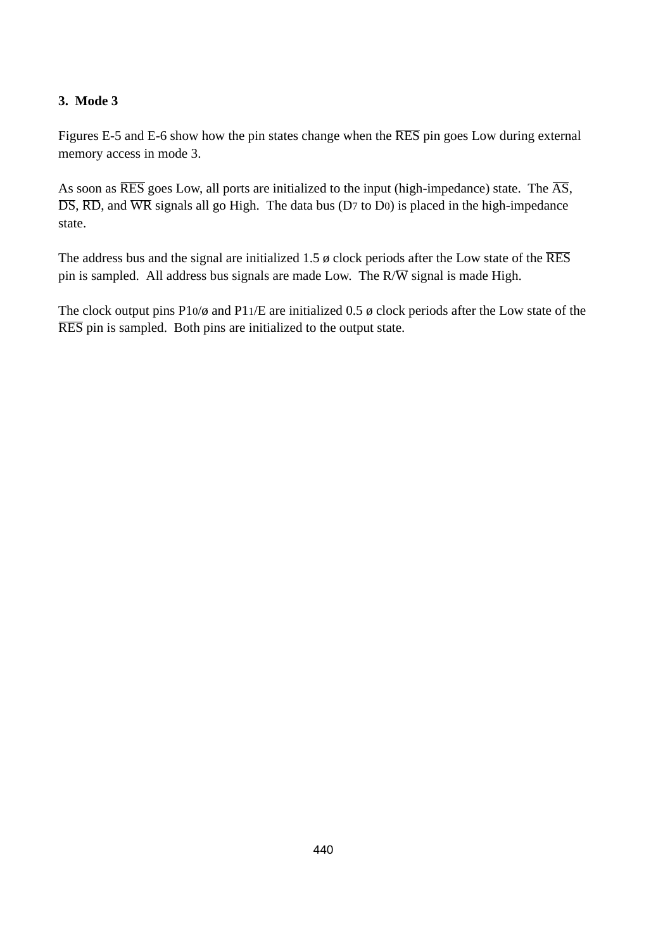Figures E-5 and E-6 show how the pin states change when the RES pin goes Low during external memory access in mode 3.

As soon as  $\overline{\text{RES}}$  goes Low, all ports are initialized to the input (high-impedance) state. The  $\overline{\text{AS}}$ ,  $\overline{DS}$ ,  $\overline{RD}$ , and  $\overline{WR}$  signals all go High. The data bus (D7 to D0) is placed in the high-impedance state.

The address bus and the signal are initialized 1.5  $\phi$  clock periods after the Low state of the  $\overline{\text{RES}}$ pin is sampled. All address bus signals are made Low. The  $R/\overline{W}$  signal is made High.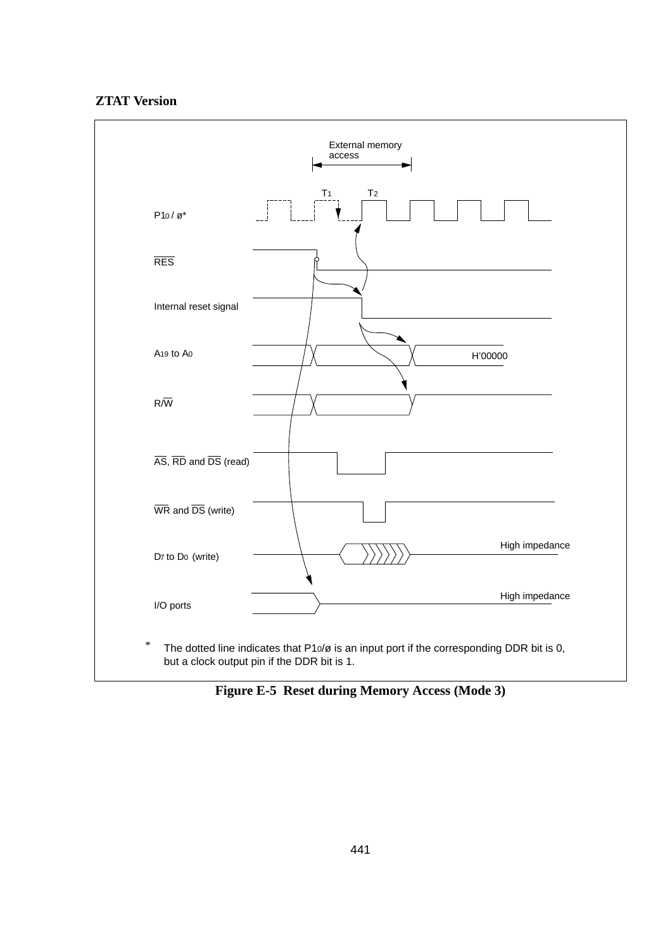#### **ZTAT Version**



**Figure E-5 Reset during Memory Access (Mode 3)**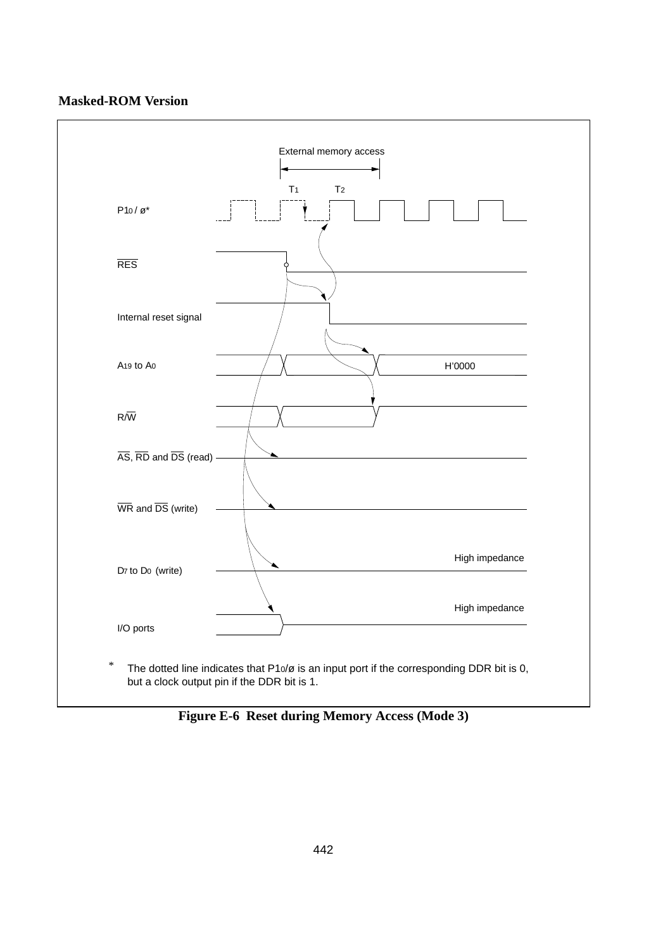# **Masked-ROM Version**



**Figure E-6 Reset during Memory Access (Mode 3)**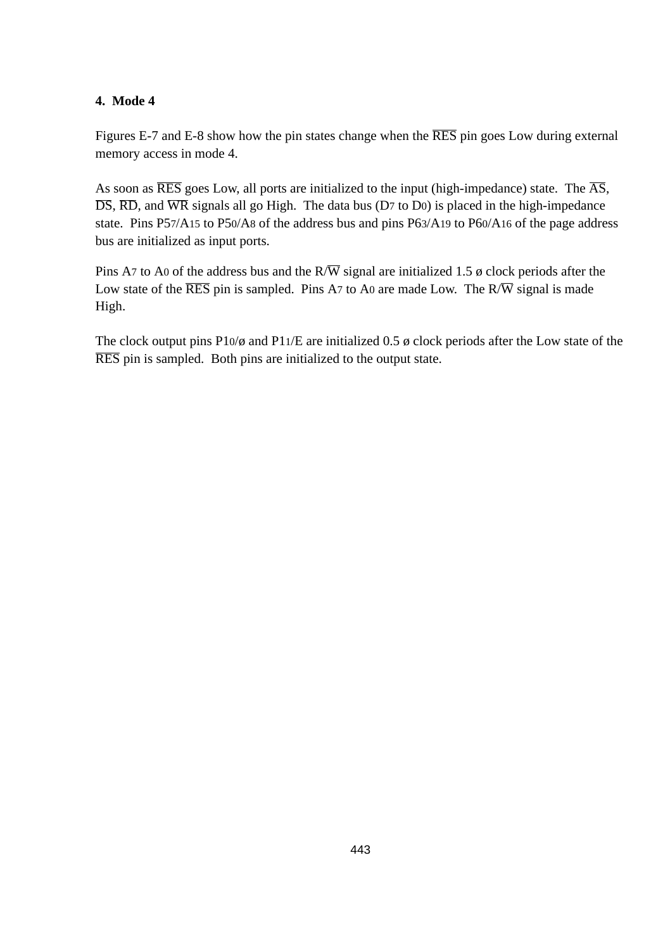Figures E-7 and E-8 show how the pin states change when the RES pin goes Low during external memory access in mode 4.

As soon as  $\overline{\text{RES}}$  goes Low, all ports are initialized to the input (high-impedance) state. The  $\overline{\text{AS}}$ ,  $\overline{DS}$ ,  $\overline{RD}$ , and  $\overline{WR}$  signals all go High. The data bus (D7 to D0) is placed in the high-impedance state. Pins P57/A15 to P50/A8 of the address bus and pins P63/A19 to P60/A16 of the page address bus are initialized as input ports.

Pins A7 to A0 of the address bus and the  $R/\overline{W}$  signal are initialized 1.5  $\phi$  clock periods after the Low state of the  $\overline{\text{RES}}$  pin is sampled. Pins A7 to A0 are made Low. The  $R/\overline{W}$  signal is made High.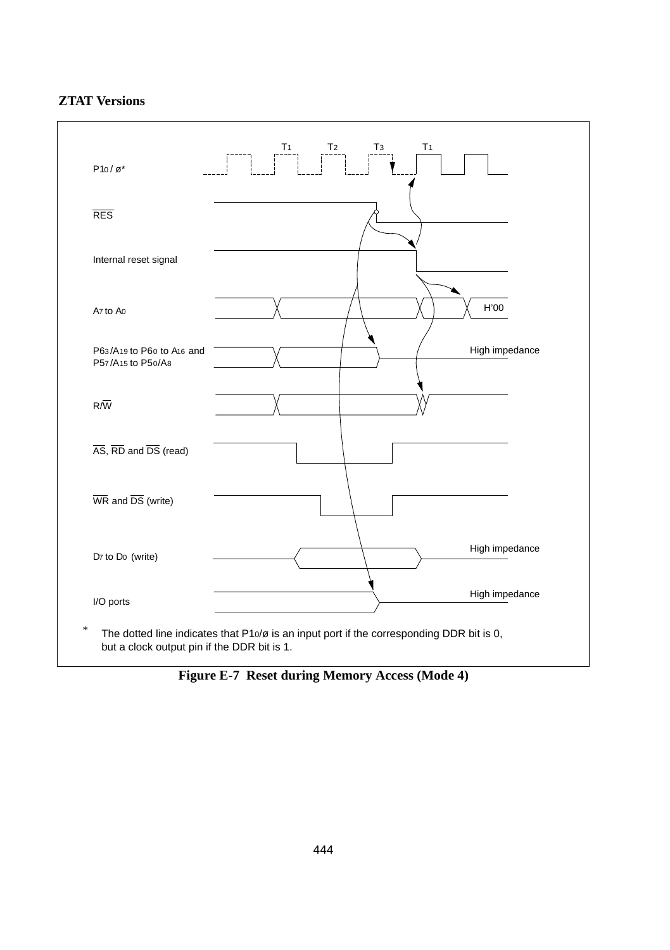## **ZTAT Versions**



**Figure E-7 Reset during Memory Access (Mode 4)**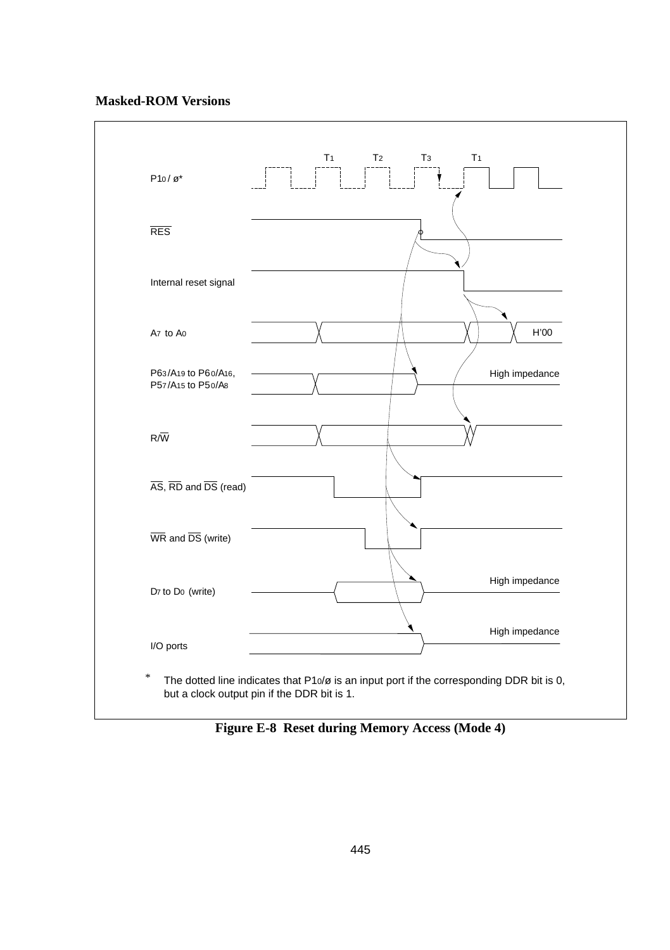#### **Masked-ROM Versions**



**Figure E-8 Reset during Memory Access (Mode 4)**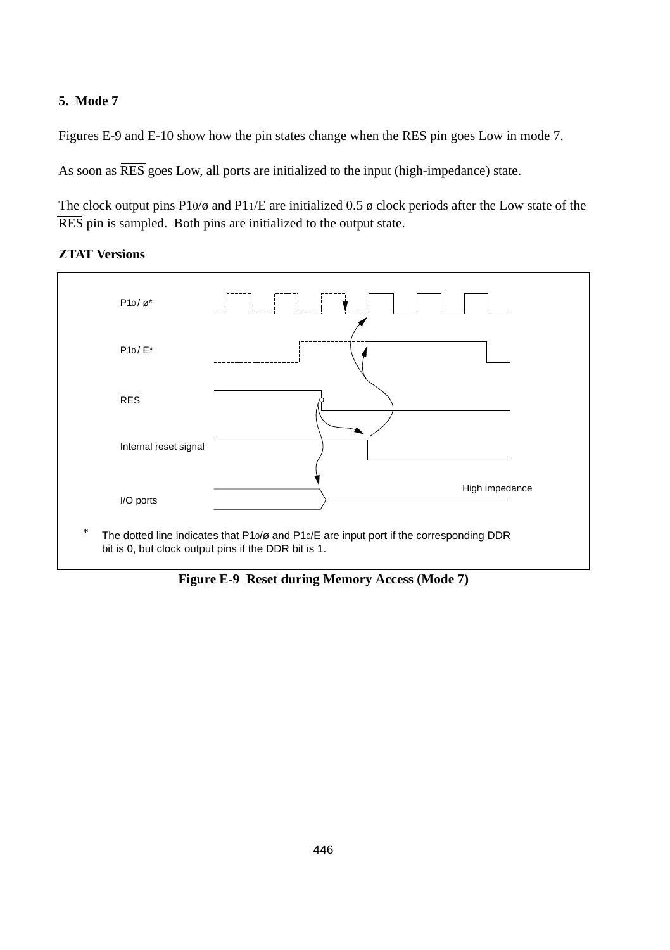Figures E-9 and E-10 show how the pin states change when the  $\overline{RES}$  pin goes Low in mode 7.

As soon as  $\overline{\text{RES}}$  goes Low, all ports are initialized to the input (high-impedance) state.





**Figure E-9 Reset during Memory Access (Mode 7)**